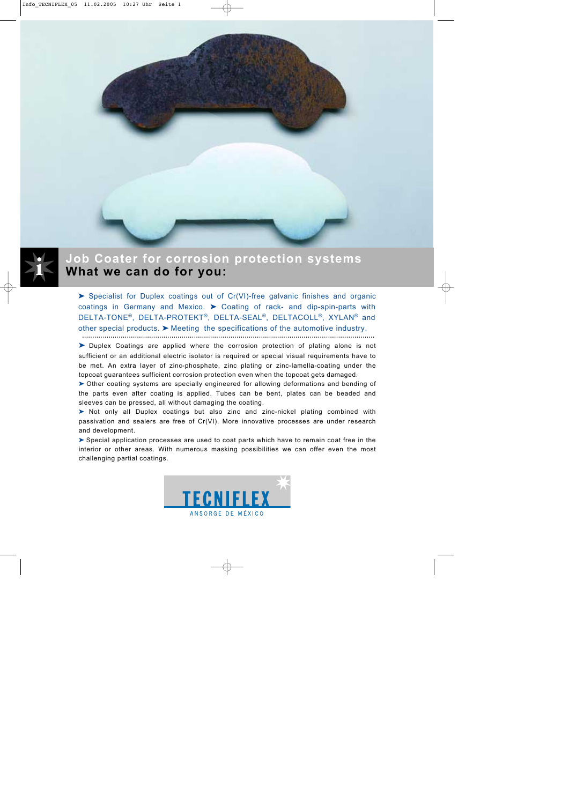



## **Job Coater for corrosion protection systems What we can do for you:**

➤ Specialist for Duplex coatings out of Cr(VI)-free galvanic finishes and organic coatings in Germany and Mexico. ➤ Coating of rack- and dip-spin-parts with DELTA-TONE®, DELTA-PROTEKT®, DELTA-SEAL®, DELTACOLL®, XYLAN® and other special products.  $\triangleright$  Meeting the specifications of the automotive industry.

➤ Duplex Coatings are applied where the corrosion protection of plating alone is not sufficient or an additional electric isolator is required or special visual requirements have to be met. An extra layer of zinc-phosphate, zinc plating or zinc-lamella-coating under the topcoat guarantees sufficient corrosion protection even when the topcoat gets damaged.

➤ Other coating systems are specially engineered for allowing deformations and bending of the parts even after coating is applied. Tubes can be bent, plates can be beaded and sleeves can be pressed, all without damaging the coating.

➤ Not only all Duplex coatings but also zinc and zinc-nickel plating combined with passivation and sealers are free of Cr(VI). More innovative processes are under research and development.

➤ Special application processes are used to coat parts which have to remain coat free in the interior or other areas. With numerous masking possibilities we can offer even the most challenging partial coatings.